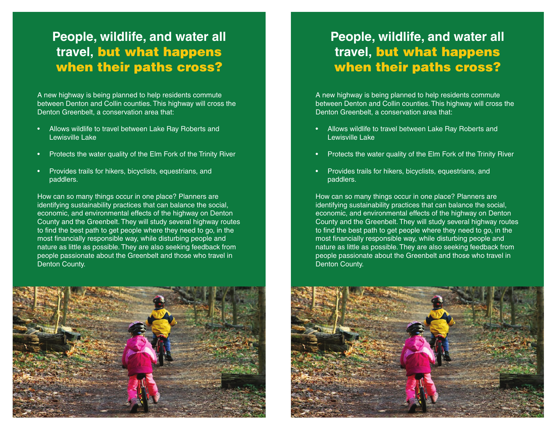## **People, wildlife, and water all travel,** but what happens when their paths cross?

A new highway is being planned to help residents commute between Denton and Collin counties. This highway will cross the Denton Greenbelt, a conservation area that:

- Allows wildlife to travel between Lake Ray Roberts and Lewisville Lake
- Protects the water quality of the Elm Fork of the Trinity River
- Provides trails for hikers, bicyclists, equestrians, and paddlers.

How can so many things occur in one place? Planners are identifying sustainability practices that can balance the social, economic, and environmental effects of the highway on Denton County and the Greenbelt. They will study several highway routes to find the best path to get people where they need to go, in the most financially responsible way, while disturbing people and nature as little as possible. They are also seeking feedback from people passionate about the Greenbelt and those who travel in Denton County.